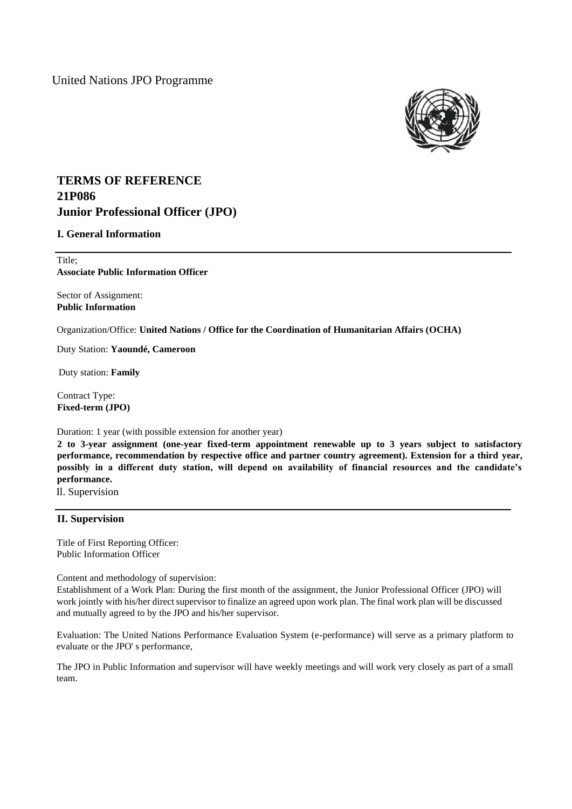United Nations JPO Programme



# **TERMS OF REFERENCE 21P086 Junior Professional Officer (JPO)**

## **I. General Information**

Title; **Associate Public Information Officer** 

Sector of Assignment: **Public Information**

Organization/Office: **United Nations / Office for the Coordination of Humanitarian Affairs (OCHA)**

Duty Station: **Yaoundé, Cameroon**

Duty station: **Family**

Contract Type: **Fixed-term (JPO)**

Duration: 1 year (with possible extension for another year)

**2 to 3-year assignment (one-year fixed-term appointment renewable up to 3 years subject to satisfactory performance, recommendation by respective office and partner country agreement). Extension for a third year, possibly in a different duty station, will depend on availability of financial resources and the candidate's performance.**

Il. Supervision

## **II. Supervision**

Title of First Reporting Officer: Public Information Officer

Content and methodology of supervision:

Establishment of a Work Plan: During the first month of the assignment, the Junior Professional Officer (JPO) will work jointly with his/her direct supervisor to finalize an agreed upon work plan. The final work plan will be discussed and mutually agreed to by the JPO and his/her supervisor.

Evaluation: The United Nations Performance Evaluation System (e-performance) will serve as a primary platform to evaluate or the JPO' s performance,

The JPO in Public Information and supervisor will have weekly meetings and will work very closely as part of a small team.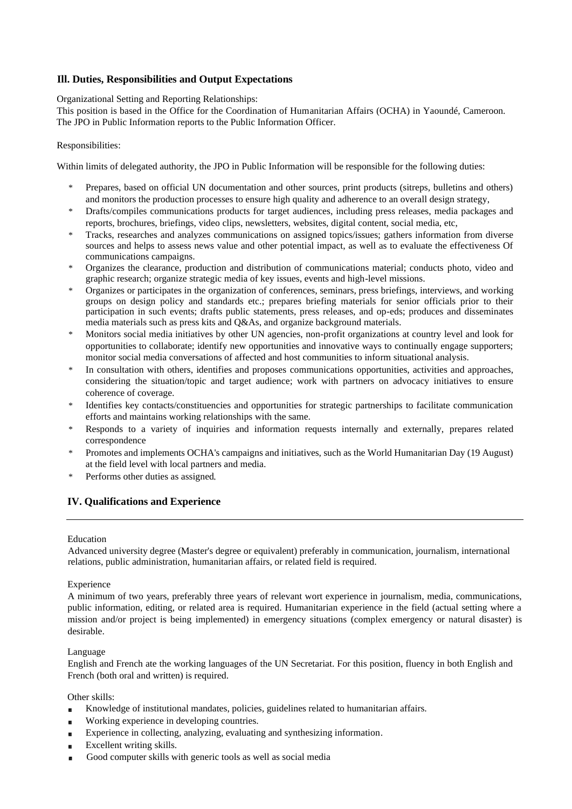## **Ill. Duties, Responsibilities and Output Expectations**

Organizational Setting and Reporting Relationships:

This position is based in the Office for the Coordination of Humanitarian Affairs (OCHA) in Yaoundé, Cameroon. The JPO in Public Information reports to the Public Information Officer.

### Responsibilities:

Within limits of delegated authority, the JPO in Public Information will be responsible for the following duties:

- \* Prepares, based on official UN documentation and other sources, print products (sitreps, bulletins and others) and monitors the production processes to ensure high quality and adherence to an overall design strategy,
- Drafts/compiles communications products for target audiences, including press releases, media packages and reports, brochures, briefings, video clips, newsletters, websites, digital content, social media, etc,
- \* Tracks, researches and analyzes communications on assigned topics/issues; gathers information from diverse sources and helps to assess news value and other potential impact, as well as to evaluate the effectiveness Of communications campaigns.
- Organizes the clearance, production and distribution of communications material; conducts photo, video and graphic research; organize strategic media of key issues, events and high-level missions.
- \* Organizes or participates in the organization of conferences, seminars, press briefings, interviews, and working groups on design policy and standards etc.; prepares briefing materials for senior officials prior to their participation in such events; drafts public statements, press releases, and op-eds; produces and disseminates media materials such as press kits and Q&As, and organize background materials.
- \* Monitors social media initiatives by other UN agencies, non-profit organizations at country level and look for opportunities to collaborate; identify new opportunities and innovative ways to continually engage supporters; monitor social media conversations of affected and host communities to inform situational analysis.
- In consultation with others, identifies and proposes communications opportunities, activities and approaches, considering the situation/topic and target audience; work with partners on advocacy initiatives to ensure coherence of coverage.
- Identifies key contacts/constituencies and opportunities for strategic partnerships to facilitate communication efforts and maintains working relationships with the same.
- \* Responds to a variety of inquiries and information requests internally and externally, prepares related correspondence
- \* Promotes and implements OCHA's campaigns and initiatives, such as the World Humanitarian Day (19 August) at the field level with local partners and media.
- \* Performs other duties as assigned

## **IV. Qualifications and Experience**

### Education

Advanced university degree (Master's degree or equivalent) preferably in communication, journalism, international relations, public administration, humanitarian affairs, or related field is required.

### Experience

A minimum of two years, preferably three years of relevant wort experience in journalism, media, communications, public information, editing, or related area is required. Humanitarian experience in the field (actual setting where a mission and/or project is being implemented) in emergency situations (complex emergency or natural disaster) is desirable.

#### Language

English and French ate the working languages of the UN Secretariat. For this position, fluency in both English and French (both oral and written) is required.

### Other skills:

- Knowledge of institutional mandates, policies, guidelines related to humanitarian affairs.  $\blacksquare$
- Working experience in developing countries.
- Experience in collecting, analyzing, evaluating and synthesizing information.
- Excellent writing skills.
- Good computer skills with generic tools as well as social media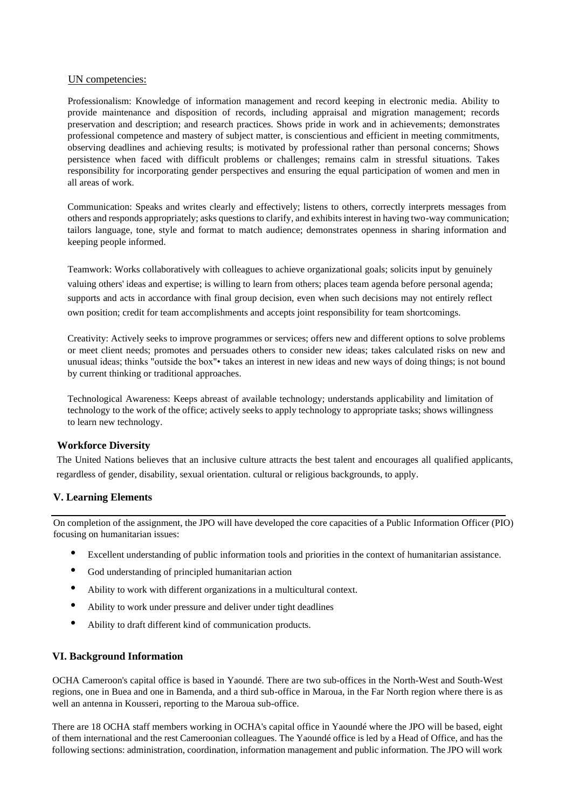### UN competencies:

Professionalism: Knowledge of information management and record keeping in electronic media. Ability to provide maintenance and disposition of records, including appraisal and migration management; records preservation and description; and research practices. Shows pride in work and in achievements; demonstrates professional competence and mastery of subject matter, is conscientious and efficient in meeting commitments, observing deadlines and achieving results; is motivated by professional rather than personal concerns; Shows persistence when faced with difficult problems or challenges; remains calm in stressful situations. Takes responsibility for incorporating gender perspectives and ensuring the equal participation of women and men in all areas of work.

Communication: Speaks and writes clearly and effectively; listens to others, correctly interprets messages from others and responds appropriately; asks questions to clarify, and exhibits interest in having two-way communication; tailors language, tone, style and format to match audience; demonstrates openness in sharing information and keeping people informed.

Teamwork: Works collaboratively with colleagues to achieve organizational goals; solicits input by genuinely valuing others' ideas and expertise; is willing to learn from others; places team agenda before personal agenda; supports and acts in accordance with final group decision, even when such decisions may not entirely reflect own position; credit for team accomplishments and accepts joint responsibility for team shortcomings.

Creativity: Actively seeks to improve programmes or services; offers new and different options to solve problems or meet client needs; promotes and persuades others to consider new ideas; takes calculated risks on new and unusual ideas; thinks "outside the box"• takes an interest in new ideas and new ways of doing things; is not bound by current thinking or traditional approaches.

Technological Awareness: Keeps abreast of available technology; understands applicability and limitation of technology to the work of the office; actively seeks to apply technology to appropriate tasks; shows willingness to learn new technology.

## **Workforce Diversity**

The United Nations believes that an inclusive culture attracts the best talent and encourages all qualified applicants, regardless of gender, disability, sexual orientation. cultural or religious backgrounds, to apply.

## **V. Learning Elements**

On completion of the assignment, the JPO will have developed the core capacities of a Public Information Officer (PIO) focusing on humanitarian issues:

- Excellent understanding of public information tools and priorities in the context of humanitarian assistance.
- God understanding of principled humanitarian action
- Ability to work with different organizations in a multicultural context.
- Ability to work under pressure and deliver under tight deadlines
- Ability to draft different kind of communication products.

## **VI. Background Information**

OCHA Cameroon's capital office is based in Yaoundé. There are two sub-offices in the North-West and South-West regions, one in Buea and one in Bamenda, and a third sub-office in Maroua, in the Far North region where there is as well an antenna in Kousseri, reporting to the Maroua sub-office.

There are 18 OCHA staff members working in OCHA's capital office in Yaoundé where the JPO will be based, eight of them international and the rest Cameroonian colleagues. The Yaoundé office is led by a Head of Office, and has the following sections: administration, coordination, information management and public information. The JPO will work